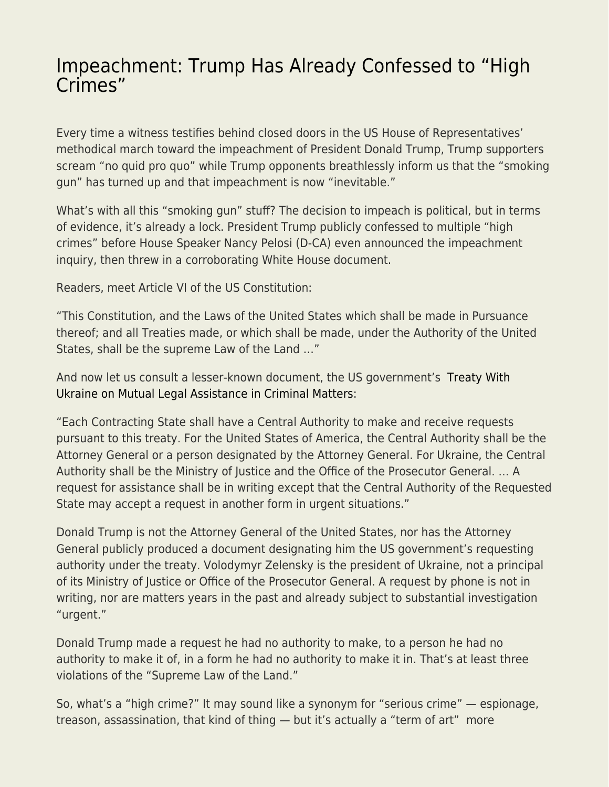## [Impeachment: Trump Has Already Confessed to "High](https://everything-voluntary.com/impeachment-trump-has-already-confessed-to-high-crimes) [Crimes"](https://everything-voluntary.com/impeachment-trump-has-already-confessed-to-high-crimes)

Every time a witness testifies behind closed doors in the US House of Representatives' methodical march toward the impeachment of President Donald Trump, Trump supporters scream "no quid pro quo" while Trump opponents breathlessly inform us that the "smoking gun" has turned up and that impeachment is now "inevitable."

What's with all this "smoking gun" stuff? The decision to impeach is political, but in terms of evidence, it's already a lock. President Trump publicly confessed to multiple "high crimes" before House Speaker Nancy Pelosi (D-CA) even announced the impeachment inquiry, then threw in a corroborating White House document.

Readers, meet Article VI of the US Constitution:

"This Constitution, and the Laws of the United States which shall be made in Pursuance thereof; and all Treaties made, or which shall be made, under the Authority of the United States, shall be the supreme Law of the Land …"

And now let us consult a lesser-known document, the US government's [Treaty With](https://www.congress.gov/treaty-document/106th-congress/16/document-text) [Ukraine on Mutual Legal Assistance in Criminal Matters](https://www.congress.gov/treaty-document/106th-congress/16/document-text):

"Each Contracting State shall have a Central Authority to make and receive requests pursuant to this treaty. For the United States of America, the Central Authority shall be the Attorney General or a person designated by the Attorney General. For Ukraine, the Central Authority shall be the Ministry of Justice and the Office of the Prosecutor General. … A request for assistance shall be in writing except that the Central Authority of the Requested State may accept a request in another form in urgent situations."

Donald Trump is not the Attorney General of the United States, nor has the Attorney General publicly produced a document designating him the US government's requesting authority under the treaty. Volodymyr Zelensky is the president of Ukraine, not a principal of its Ministry of Justice or Office of the Prosecutor General. A request by phone is not in writing, nor are matters years in the past and already subject to substantial investigation "urgent."

Donald Trump made a request he had no authority to make, to a person he had no authority to make it of, in a form he had no authority to make it in. That's at least three violations of the "Supreme Law of the Land."

So, what's a "high crime?" It may sound like a synonym for "serious crime" — espionage, treason, assassination, that kind of thing — but it's actually a "term of art" more